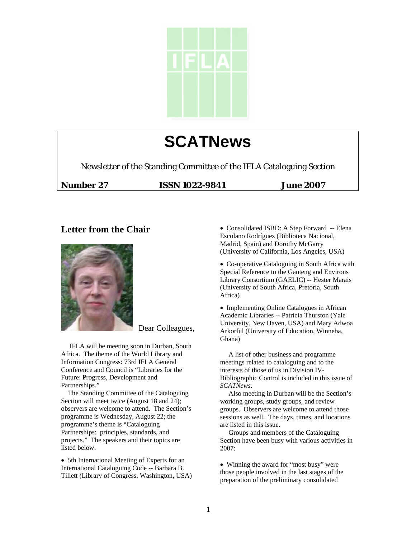

# **SCATNews**

Newsletter of the Standing Committee of the IFLA Cataloguing Section

**Number 27 ISSN 1022-9841 June 2007** 

# **Letter from the Chair**



Dear Colleagues,

 IFLA will be meeting soon in Durban, South Africa. The theme of the World Library and Information Congress: 73rd IFLA General Conference and Council is "Libraries for the Future: Progress, Development and Partnerships."

 The Standing Committee of the Cataloguing Section will meet twice (August 18 and 24); observers are welcome to attend. The Section's programme is Wednesday, August 22; the programme's theme is "Cataloguing Partnerships: principles, standards, and projects." The speakers and their topics are listed below.

• 5th International Meeting of Experts for an International Cataloguing Code -- Barbara B. Tillett (Library of Congress, Washington, USA) • Consolidated ISBD: A Step Forward -- Elena Escolano Rodríguez (Biblioteca Nacional, Madrid, Spain) and Dorothy McGarry (University of California, Los Angeles, USA)

• Co-operative Cataloguing in South Africa with Special Reference to the Gauteng and Environs Library Consortium (GAELIC) -- Hester Marais (University of South Africa, Pretoria, South Africa)

• Implementing Online Catalogues in African Academic Libraries -- Patricia Thurston (Yale University, New Haven, USA) and Mary Adwoa Arkorful (University of Education, Winneba, Ghana)

 A list of other business and programme meetings related to cataloguing and to the interests of those of us in Division IV-Bibliographic Control is included in this issue of *SCATNews*.

 Also meeting in Durban will be the Section's working groups, study groups, and review groups. Observers are welcome to attend those sessions as well. The days, times, and locations are listed in this issue.

 Groups and members of the Cataloguing Section have been busy with various activities in 2007:

• Winning the award for "most busy" were those people involved in the last stages of the preparation of the preliminary consolidated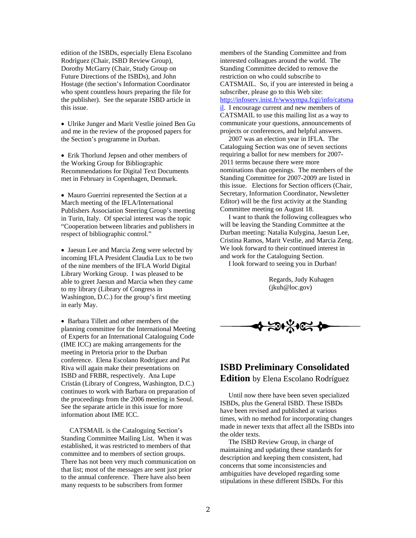edition of the ISBDs, especially Elena Escolano Rodríguez (Chair, ISBD Review Group), Dorothy McGarry (Chair, Study Group on Future Directions of the ISBDs), and John Hostage (the section's Information Coordinator who spent countless hours preparing the file for the publisher). See the separate ISBD article in this issue.

• Ulrike Junger and Marit Vestlie joined Ben Gu and me in the review of the proposed papers for the Section's programme in Durban.

• Erik Thorlund Jepsen and other members of the Working Group for Bibliographic Recommendations for Digital Text Documents met in February in Copenhagen, Denmark.

• Mauro Guerrini represented the Section at a March meeting of the IFLA/International Publishers Association Steering Group's meeting in Turin, Italy. Of special interest was the topic "Cooperation between libraries and publishers in respect of bibliographic control."

• Jaesun Lee and Marcia Zeng were selected by incoming IFLA President Claudia Lux to be two of the nine members of the IFLA World Digital Library Working Group. I was pleased to be able to greet Jaesun and Marcia when they came to my library (Library of Congress in Washington, D.C.) for the group's first meeting in early May.

• Barbara Tillett and other members of the planning committee for the International Meeting of Experts for an International Cataloguing Code (IME ICC) are making arrangements for the meeting in Pretoria prior to the Durban conference. Elena Escolano Rodríguez and Pat Riva will again make their presentations on ISBD and FRBR, respectively. Ana Lupe Cristán (Library of Congress, Washington, D.C.) continues to work with Barbara on preparation of the proceedings from the 2006 meeting in Seoul. See the separate article in this issue for more information about IME ICC.

 CATSMAIL is the Cataloguing Section's Standing Committee Mailing List. When it was established, it was restricted to members of that committee and to members of section groups. There has not been very much communication on that list; most of the messages are sent just prior to the annual conference. There have also been many requests to be subscribers from former

members of the Standing Committee and from interested colleagues around the world. The Standing Committee decided to remove the restriction on who could subscribe to CATSMAIL. So, if you are interested in being a subscriber, please go to this Web site: [http://infoserv.inist.fr/wwsympa.fcgi/info/catsma](http://infoserv.inist.fr/wwsympa.fcgi/info/catsmail) [il.](http://infoserv.inist.fr/wwsympa.fcgi/info/catsmail) I encourage current and new members of CATSMAIL to use this mailing list as a way to communicate your questions, announcements of projects or conferences, and helpful answers.

 2007 was an election year in IFLA. The Cataloguing Section was one of seven sections requiring a ballot for new members for 2007- 2011 terms because there were more nominations than openings. The members of the Standing Committee for 2007-2009 are listed in this issue. Elections for Section officers (Chair, Secretary, Information Coordinator, Newsletter Editor) will be the first activity at the Standing Committee meeting on August 18.

 I want to thank the following colleagues who will be leaving the Standing Committee at the Durban meeting: Natalia Kulygina, Jaesun Lee, Cristina Ramos, Marit Vestlie, and Marcia Zeng. We look forward to their continued interest in and work for the Cataloguing Section.

I look forward to seeing you in Durban!

 Regards, Judy Kuhagen (jkuh@loc.gov)



# **ISBD Preliminary Consolidated Edition** by Elena Escolano Rodríguez

 Until now there have been seven specialized ISBDs, plus the General ISBD. These ISBDs have been revised and published at various times, with no method for incorporating changes made in newer texts that affect all the ISBDs into the older texts.

 The ISBD Review Group, in charge of maintaining and updating these standards for description and keeping them consistent, had concerns that some inconsistencies and ambiguities have developed regarding some stipulations in these different ISBDs. For this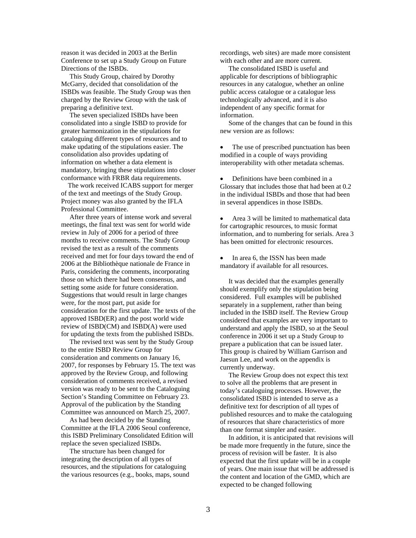reason it was decided in 2003 at the Berlin Conference to set up a Study Group on Future Directions of the ISBDs.

 This Study Group, chaired by Dorothy McGarry, decided that consolidation of the ISBDs was feasible. The Study Group was then charged by the Review Group with the task of preparing a definitive text.

 The seven specialized ISBDs have been consolidated into a single ISBD to provide for greater harmonization in the stipulations for cataloguing different types of resources and to make updating of the stipulations easier. The consolidation also provides updating of information on whether a data element is mandatory, bringing these stipulations into closer conformance with FRBR data requirements.

 The work received ICABS support for merger of the text and meetings of the Study Group. Project money was also granted by the IFLA Professional Committee.

 After three years of intense work and several meetings, the final text was sent for world wide review in July of 2006 for a period of three months to receive comments. The Study Group revised the text as a result of the comments received and met for four days toward the end of 2006 at the Bibliothèque nationale de France in Paris, considering the comments, incorporating those on which there had been consensus, and setting some aside for future consideration. Suggestions that would result in large changes were, for the most part, put aside for consideration for the first update. The texts of the approved ISBD(ER) and the post world wide review of ISBD(CM) and ISBD(A) were used for updating the texts from the published ISBDs.

 The revised text was sent by the Study Group to the entire ISBD Review Group for consideration and comments on January 16, 2007, for responses by February 15. The text was approved by the Review Group, and following consideration of comments received, a revised version was ready to be sent to the Cataloguing Section's Standing Committee on February 23. Approval of the publication by the Standing Committee was announced on March 25, 2007.

 As had been decided by the Standing Committee at the IFLA 2006 Seoul conference, this ISBD Preliminary Consolidated Edition will replace the seven specialized ISBDs.

 The structure has been changed for integrating the description of all types of resources, and the stipulations for cataloguing the various resources (e.g., books, maps, sound recordings, web sites) are made more consistent with each other and are more current.

 The consolidated ISBD is useful and applicable for descriptions of bibliographic resources in any catalogue, whether an online public access catalogue or a catalogue less technologically advanced, and it is also independent of any specific format for information.

 Some of the changes that can be found in this new version are as follows:

The use of prescribed punctuation has been modified in a couple of ways providing interoperability with other metadata schemas.

• Definitions have been combined in a Glossary that includes those that had been at 0.2 in the individual ISBDs and those that had been in several appendices in those ISBDs.

• Area 3 will be limited to mathematical data for cartographic resources, to music format information, and to numbering for serials. Area 3 has been omitted for electronic resources.

• In area 6, the ISSN has been made mandatory if available for all resources.

 It was decided that the examples generally should exemplify only the stipulation being considered. Full examples will be published separately in a supplement, rather than being included in the ISBD itself. The Review Group considered that examples are very important to understand and apply the ISBD, so at the Seoul conference in 2006 it set up a Study Group to prepare a publication that can be issued later. This group is chaired by William Garrison and Jaesun Lee, and work on the appendix is currently underway.

 The Review Group does not expect this text to solve all the problems that are present in today's cataloguing processes. However, the consolidated ISBD is intended to serve as a definitive text for description of all types of published resources and to make the cataloguing of resources that share characteristics of more than one format simpler and easier.

 In addition, it is anticipated that revisions will be made more frequently in the future, since the process of revision will be faster. It is also expected that the first update will be in a couple of years. One main issue that will be addressed is the content and location of the GMD, which are expected to be changed following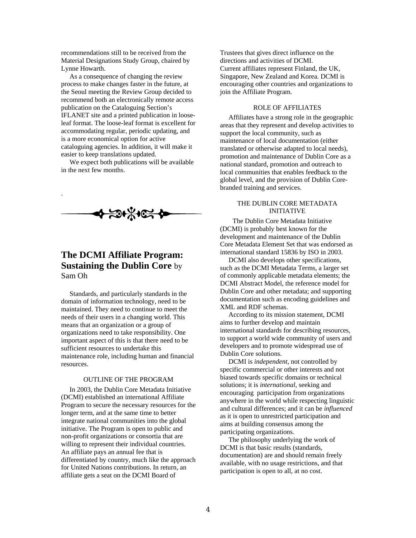recommendations still to be received from the Material Designations Study Group, chaired by Lynne Howarth.

 As a consequence of changing the review process to make changes faster in the future, at the Seoul meeting the Review Group decided to recommend both an electronically remote access publication on the Cataloguing Section's IFLANET site and a printed publication in looseleaf format. The loose-leaf format is excellent for accommodating regular, periodic updating, and is a more economical option for active cataloguing agencies. In addition, it will make it easier to keep translations updated.

 We expect both publications will be available in the next few months.

.



# **The DCMI Affiliate Program: Sustaining the Dublin Core** by Sam Oh

 Standards, and particularly standards in the domain of information technology, need to be maintained. They need to continue to meet the needs of their users in a changing world. This means that an organization or a group of organizations need to take responsibility. One important aspect of this is that there need to be sufficient resources to undertake this maintenance role, including human and financial resources.

### OUTLINE OF THE PROGRAM

 In 2003, the Dublin Core Metadata Initiative (DCMI) established an international Affiliate Program to secure the necessary resources for the longer term, and at the same time to better integrate national communities into the global initiative. The Program is open to public and non-profit organizations or consortia that are willing to represent their individual countries. An affiliate pays an annual fee that is differentiated by country, much like the approach for United Nations contributions. In return, an affiliate gets a seat on the DCMI Board of

Trustees that gives direct influence on the directions and activities of DCMI. Current affiliates represent Finland, the UK, Singapore, New Zealand and Korea. DCMI is encouraging other countries and organizations to join the Affiliate Program.

## ROLE OF AFFILIATES

 Affiliates have a strong role in the geographic areas that they represent and develop activities to support the local community, such as maintenance of local documentation (either translated or otherwise adapted to local needs), promotion and maintenance of Dublin Core as a national standard, promotion and outreach to local communities that enables feedback to the global level, and the provision of Dublin Corebranded training and services.

## THE DUBLIN CORE METADATA INITIATIVE

 The Dublin Core Metadata Initiative (DCMI) is probably best known for the development and maintenance of the Dublin Core Metadata Element Set that was endorsed as international standard 15836 by ISO in 2003.

 DCMI also develops other specifications, such as the DCMI Metadata Terms, a larger set of commonly applicable metadata elements; the DCMI Abstract Model, the reference model for Dublin Core and other metadata; and supporting documentation such as encoding guidelines and XML and RDF schemas.

 According to its mission statement, DCMI aims to further develop and maintain international standards for describing resources, to support a world wide community of users and developers and to promote widespread use of Dublin Core solutions.

 DCMI is *independent*, not controlled by specific commercial or other interests and not biased towards specific domains or technical solutions; it is *international*, seeking and encouraging participation from organizations anywhere in the world while respecting linguistic and cultural differences; and it can be *influenced* as it is open to unrestricted participation and aims at building consensus among the participating organizations.

 The philosophy underlying the work of DCMI is that basic results (standards, documentation) are and should remain freely available, with no usage restrictions, and that participation is open to all, at no cost.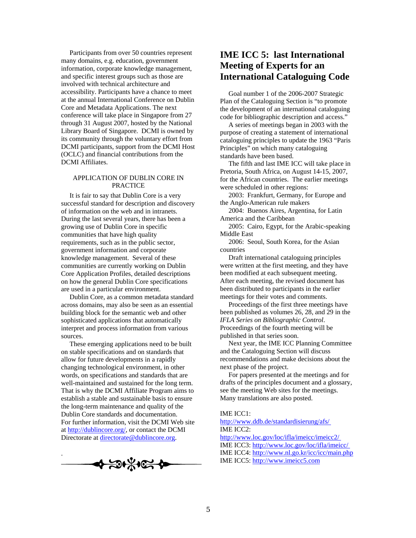Participants from over 50 countries represent many domains, e.g. education, government information, corporate knowledge management, and specific interest groups such as those are involved with technical architecture and accessibility. Participants have a chance to meet at the annual International Conference on Dublin Core and Metadata Applications. The next conference will take place in Singapore from 27 through 31 August 2007, hosted by the National Library Board of Singapore. DCMI is owned by its community through the voluntary effort from DCMI participants, support from the DCMI Host (OCLC) and financial contributions from the DCMI Affiliates.

#### APPLICATION OF DUBLIN CORE IN PRACTICE

 It is fair to say that Dublin Core is a very successful standard for description and discovery of information on the web and in intranets. During the last several years, there has been a growing use of Dublin Core in specific communities that have high quality requirements, such as in the public sector, government information and corporate knowledge management. Several of these communities are currently working on Dublin Core Application Profiles, detailed descriptions on how the general Dublin Core specifications are used in a particular environment.

 Dublin Core, as a common metadata standard across domains, may also be seen as an essential building block for the semantic web and other sophisticated applications that automatically interpret and process information from various sources.

 These emerging applications need to be built on stable specifications and on standards that allow for future developments in a rapidly changing technological environment, in other words, on specifications and standards that are well-maintained and sustained for the long term. That is why the DCMI Affiliate Program aims to establish a stable and sustainable basis to ensure the long-term maintenance and quality of the Dublin Core standards and documentation. For further information, visit the DCMI Web site at [http://dublincore.org/,](http://dublincore.org/) or contact the DCMI Directorate at [directorate@dublincore.org.](mailto:directorate@dublincore.org)



# **IME ICC 5: last International Meeting of Experts for an International Cataloguing Code**

 Goal number 1 of the 2006-2007 Strategic Plan of the Cataloguing Section is "to promote the development of an international cataloguing code for bibliographic description and access."

 A series of meetings began in 2003 with the purpose of creating a statement of international cataloguing principles to update the 1963 "Paris Principles" on which many cataloguing standards have been based.

 The fifth and last IME ICC will take place in Pretoria, South Africa, on August 14-15, 2007, for the African countries. The earlier meetings were scheduled in other regions:

 2003: Frankfurt, Germany, for Europe and the Anglo-American rule makers

 2004: Buenos Aires, Argentina, for Latin America and the Caribbean

 2005: Cairo, Egypt, for the Arabic-speaking Middle East

 2006: Seoul, South Korea, for the Asian countries

 Draft international cataloguing principles were written at the first meeting, and they have been modified at each subsequent meeting. After each meeting, the revised document has been distributed to participants in the earlier meetings for their votes and comments.

 Proceedings of the first three meetings have been published as volumes 26, 28, and 29 in the *IFLA Series on Bibliographic Control*. Proceedings of the fourth meeting will be published in that series soon.

 Next year, the IME ICC Planning Committee and the Cataloguing Section will discuss recommendations and make decisions about the next phase of the project.

 For papers presented at the meetings and for drafts of the principles document and a glossary, see the meeting Web sites for the meetings. Many translations are also posted.

#### IME ICC1:

#### [http://www.ddb.de/standardisierung/afs/](http://www.ddb.de/standardisierung/afs/imeicc_index.htm)  IME ICC2:

<http://www.loc.gov/loc/ifla/imeicc/imeicc2/> IME ICC3: <http://www.loc.gov/loc/ifla/imeicc/> IME ICC4: <http://www.nl.go.kr/icc/icc/main.php> IME ICC5: [http://www.imeicc5.com](http://www.imeicc5.com/)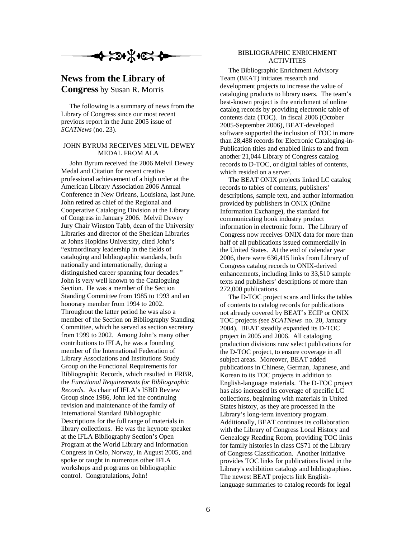# **News from the Library of Congress** by Susan R. Morris

 The following is a summary of news from the Library of Congress since our most recent previous report in the June 2005 issue of *SCATNews* (no. 23).

# JOHN BYRUM RECEIVES MELVIL DEWEY MEDAL FROM ALA

 John Byrum received the 2006 Melvil Dewey Medal and Citation for recent creative professional achievement of a high order at the American Library Association 2006 Annual Conference in New Orleans, Louisiana, last June. John retired as chief of the Regional and Cooperative Cataloging Division at the Library of Congress in January 2006. Melvil Dewey Jury Chair Winston Tabb, dean of the University Libraries and director of the Sheridan Libraries at Johns Hopkins University, cited John's "extraordinary leadership in the fields of cataloging and bibliographic standards, both nationally and internationally, during a distinguished career spanning four decades." John is very well known to the Cataloguing Section. He was a member of the Section Standing Committee from 1985 to 1993 and an honorary member from 1994 to 2002. Throughout the latter period he was also a member of the Section on Bibliography Standing Committee, which he served as section secretary from 1999 to 2002. Among John's many other contributions to IFLA, he was a founding member of the International Federation of Library Associations and Institutions Study Group on the Functional Requirements for Bibliographic Records, which resulted in FRBR, the *Functional Requirements for Bibliographic Records.* As chair of IFLA's ISBD Review Group since 1986, John led the continuing revision and maintenance of the family of International Standard Bibliographic Descriptions for the full range of materials in library collections. He was the keynote speaker at the IFLA Bibliography Section's Open Program at the World Library and Information Congress in Oslo, Norway, in August 2005, and spoke or taught in numerous other IFLA workshops and programs on bibliographic control. Congratulations, John!

# BIBLIOGRAPHIC ENRICHMENT ACTIVITIES

 The Bibliographic Enrichment Advisory Team (BEAT) initiates research and development projects to increase the value of cataloging products to library users. The team's best-known project is the enrichment of online catalog records by providing electronic table of contents data (TOC). In fiscal 2006 (October 2005-September 2006), BEAT-developed software supported the inclusion of TOC in more than 28,488 records for Electronic Cataloging-in-Publication titles and enabled links to and from another 21,044 Library of Congress catalog records to D-TOC, or digital tables of contents, which resided on a server.

 The BEAT ONIX projects linked LC catalog records to tables of contents, publishers' descriptions, sample text, and author information provided by publishers in ONIX (Online Information Exchange), the standard for communicating book industry product information in electronic form. The Library of Congress now receives ONIX data for more than half of all publications issued commercially in the United States. At the end of calendar year 2006, there were 636,415 links from Library of Congress catalog records to ONIX-derived enhancements, including links to 33,510 sample texts and publishers' descriptions of more than 272,000 publications.

 The D-TOC project scans and links the tables of contents to catalog records for publications not already covered by BEAT's ECIP or ONIX TOC projects *(*see *SCATNews* no. 20, January 2004)*.* BEAT steadily expanded its D-TOC project in 2005 and 2006. All cataloging production divisions now select publications for the D-TOC project, to ensure coverage in all subject areas. Moreover, BEAT added publications in Chinese, German, Japanese, and Korean to its TOC projects in addition to English-language materials. The D-TOC project has also increased its coverage of specific LC collections, beginning with materials in United States history, as they are processed in the Library's long-term inventory program. Additionally, BEAT continues its collaboration with the Library of Congress Local History and Genealogy Reading Room, providing TOC links for family histories in class CS71 of the Library of Congress Classification. Another initiative provides TOC links for publications listed in the Library's exhibition catalogs and bibliographies. The newest BEAT projects link Englishlanguage summaries to catalog records for legal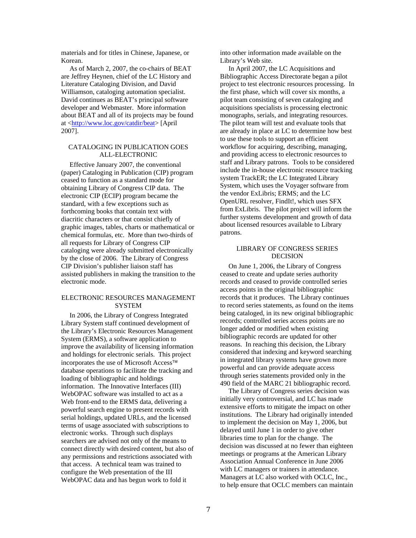materials and for titles in Chinese, Japanese, or Korean.

 As of March 2, 2007, the co-chairs of BEAT are Jeffrey Heynen, chief of the LC History and Literature Cataloging Division, and David Williamson, cataloging automation specialist. David continues as BEAT's principal software developer and Webmaster. More information about BEAT and all of its projects may be found at <http://www.loc.gov/catdir/beat> [April 2007].

#### CATALOGING IN PUBLICATION GOES ALL-ELECTRONIC

 Effective January 2007, the conventional (paper) Cataloging in Publication (CIP) program ceased to function as a standard mode for obtaining Library of Congress CIP data. The electronic CIP (ECIP) program became the standard, with a few exceptions such as forthcoming books that contain text with diacritic characters or that consist chiefly of graphic images, tables, charts or mathematical or chemical formulas, etc. More than two-thirds of all requests for Library of Congress CIP cataloging were already submitted electronically by the close of 2006. The Library of Congress CIP Division's publisher liaison staff has assisted publishers in making the transition to the electronic mode.

## ELECTRONIC RESOURCES MANAGEMENT **SYSTEM**

 In 2006, the Library of Congress Integrated Library System staff continued development of the Library's Electronic Resources Management System (ERMS), a software application to improve the availability of licensing information and holdings for electronic serials. This project incorporates the use of Microsoft Access™ database operations to facilitate the tracking and loading of bibliographic and holdings information. The Innovative Interfaces (III) WebOPAC software was installed to act as a Web front-end to the ERMS data, delivering a powerful search engine to present records with serial holdings, updated URLs, and the licensed terms of usage associated with subscriptions to electronic works. Through such displays searchers are advised not only of the means to connect directly with desired content, but also of any permissions and restrictions associated with that access. A technical team was trained to configure the Web presentation of the III WebOPAC data and has begun work to fold it

into other information made available on the Library's Web site.

 In April 2007, the LC Acquisitions and Bibliographic Access Directorate began a pilot project to test electronic resources processing. In the first phase, which will cover six months, a pilot team consisting of seven cataloging and acquisitions specialists is processing electronic monographs, serials, and integrating resources. The pilot team will test and evaluate tools that are already in place at LC to determine how best to use these tools to support an efficient workflow for acquiring, describing, managing, and providing access to electronic resources to staff and Library patrons. Tools to be considered include the in-house electronic resource tracking system TrackER; the LC Integrated Library System, which uses the Voyager software from the vendor ExLibris; ERMS; and the LC OpenURL resolver, FindIt!, which uses SFX from ExLibris. The pilot project will inform the further systems development and growth of data about licensed resources available to Library patrons.

# LIBRARY OF CONGRESS SERIES DECISION

 On June 1, 2006, the Library of Congress ceased to create and update series authority records and ceased to provide controlled series access points in the original bibliographic records that it produces. The Library continues to record series statements, as found on the items being cataloged, in its new original bibliographic records; controlled series access points are no longer added or modified when existing bibliographic records are updated for other reasons. In reaching this decision, the Library considered that indexing and keyword searching in integrated library systems have grown more powerful and can provide adequate access through series statements provided only in the 490 field of the MARC 21 bibliographic record.

 The Library of Congress series decision was initially very controversial, and LC has made extensive efforts to mitigate the impact on other institutions. The Library had originally intended to implement the decision on May 1, 2006, but delayed until June 1 in order to give other libraries time to plan for the change. The decision was discussed at no fewer than eighteen meetings or programs at the American Library Association Annual Conference in June 2006 with LC managers or trainers in attendance. Managers at LC also worked with OCLC, Inc., to help ensure that OCLC members can maintain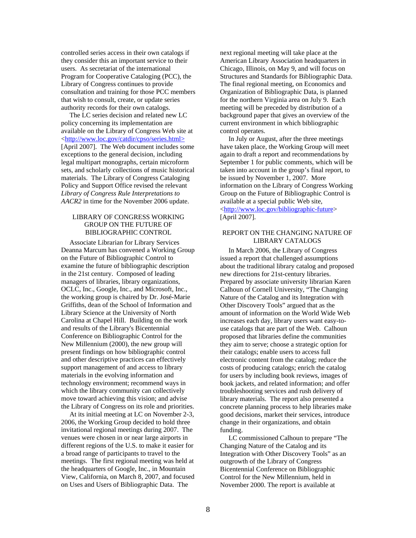controlled series access in their own catalogs if they consider this an important service to their users. As secretariat of the international Program for Cooperative Cataloging (PCC), the Library of Congress continues to provide consultation and training for those PCC members that wish to consult, create, or update series authority records for their own catalogs.

 The LC series decision and related new LC policy concerning its implementation are available on the Library of Congress Web site at <http://www.loc.gov/catdir/cpso/series.html> [April 2007]. The Web document includes some exceptions to the general decision, including legal multipart monographs, certain microform sets, and scholarly collections of music historical materials. The Library of Congress Cataloging Policy and Support Office revised the relevant *Library of Congress Rule Interpretations to AACR2* in time for the November 2006 update.

# LIBRARY OF CONGRESS WORKING GROUP ON THE FUTURE OF BIBLIOGRAPHIC CONTROL

 Associate Librarian for Library Services Deanna Marcum has convened a Working Group on the Future of Bibliographic Control to examine the future of bibliographic description in the 21st century. Composed of leading managers of libraries, library organizations, OCLC, Inc., Google, Inc., and Microsoft, Inc., the working group is chaired by Dr. José-Marie Griffiths, dean of the School of Information and Library Science at the University of North Carolina at Chapel Hill. Building on the work and results of the Library's Bicentennial Conference on Bibliographic Control for the New Millennium (2000), the new group will present findings on how bibliographic control and other descriptive practices can effectively support management of and access to library materials in the evolving information and technology environment; recommend ways in which the library community can collectively move toward achieving this vision; and advise the Library of Congress on its role and priorities.

 At its initial meeting at LC on November 2-3, 2006, the Working Group decided to hold three invitational regional meetings during 2007. The venues were chosen in or near large airports in different regions of the U.S. to make it easier for a broad range of participants to travel to the meetings. The first regional meeting was held at the headquarters of Google, Inc., in Mountain View, California, on March 8, 2007, and focused on Uses and Users of Bibliographic Data. The

next regional meeting will take place at the American Library Association headquarters in Chicago, Illinois, on May 9, and will focus on Structures and Standards for Bibliographic Data. The final regional meeting, on Economics and Organization of Bibliographic Data, is planned for the northern Virginia area on July 9. Each meeting will be preceded by distribution of a background paper that gives an overview of the current environment in which bibliographic control operates.

 In July or August, after the three meetings have taken place, the Working Group will meet again to draft a report and recommendations by September 1 for public comments, which will be taken into account in the group's final report, to be issued by November 1, 2007. More information on the Library of Congress Working Group on the Future of Bibliographic Control is available at a special public Web site, <http://www.loc.gov/bibliographic-future> [April 2007].

## REPORT ON THE CHANGING NATURE OF LIBRARY CATALOGS

 In March 2006, the Library of Congress issued a report that challenged assumptions about the traditional library catalog and proposed new directions for 21st-century libraries. Prepared by associate university librarian Karen Calhoun of Cornell University, "The Changing Nature of the Catalog and its Integration with Other Discovery Tools" argued that as the amount of information on the World Wide Web increases each day, library users want easy-touse catalogs that are part of the Web. Calhoun proposed that libraries define the communities they aim to serve; choose a strategic option for their catalogs; enable users to access full electronic content from the catalog; reduce the costs of producing catalogs; enrich the catalog for users by including book reviews, images of book jackets, and related information; and offer troubleshooting services and rush delivery of library materials. The report also presented a concrete planning process to help libraries make good decisions, market their services, introduce change in their organizations, and obtain funding.

 LC commissioned Calhoun to prepare "The Changing Nature of the Catalog and its Integration with Other Discovery Tools" as an outgrowth of the Library of Congress Bicentennial Conference on Bibliographic Control for the New Millennium, held in November 2000. The report is available at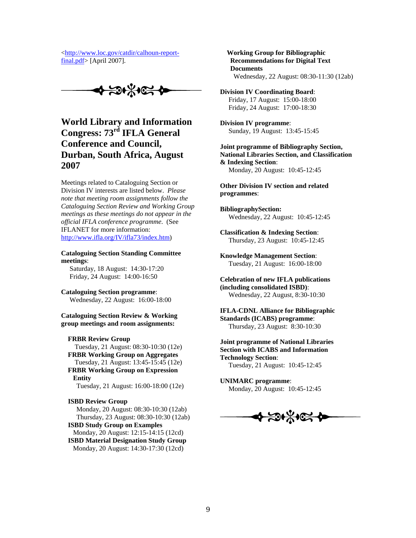<[http://www.loc.gov/catdir/calhoun-report](http://www.loc.gov/catdir/calhoun-report-final.pdf)[final.pdf](http://www.loc.gov/catdir/calhoun-report-final.pdf)> [April 2007].

中山天京

**World Library and Information Congress: 73rd IFLA General Conference and Council, Durban, South Africa, August 2007** 

Meetings related to Cataloguing Section or Division IV interests are listed below. *Please note that meeting room assignments follow the Cataloguing Section Review and Working Group meetings as these meetings do not appear in the official IFLA conference programme*. (See IFLANET for more information: [http://www.ifla.org/IV/ifla73/index.htm\)](http://www.ifla.org/IV/ifla73/index.htm)

**Cataloguing Section Standing Committee meetings**:

 Saturday, 18 August: 14:30-17:20 Friday, 24 August: 14:00-16:50

**Cataloguing Section programme**: Wednesday, 22 August: 16:00-18:00

**Cataloguing Section Review & Working group meetings and room assignments:** 

#### **FRBR Review Group**

 Tuesday, 21 August: 08:30-10:30 (12e) **FRBR Working Group on Aggregates** Tuesday, 21 August: 13:45-15:45 (12e) **FRBR Working Group on Expression Entity**

Tuesday, 21 August: 16:00-18:00 (12e)

**ISBD Review Group** 

 Monday, 20 August: 08:30-10:30 (12ab) Thursday, 23 August: 08:30-10:30 (12ab)

 **ISBD Study Group on Examples** Monday, 20 August: 12:15-14:15 (12cd) **ISBD Material Designation Study Group**  Monday, 20 August: 14:30-17:30 (12cd)

 **Working Group for Bibliographic Recommendations for Digital Text Documents** Wednesday, 22 August: 08:30-11:30 (12ab)

**Division IV Coordinating Board**: Friday, 17 August: 15:00-18:00 Friday, 24 August: 17:00-18:30

**Division IV programme**: Sunday, 19 August: 13:45-15:45

**Joint programme of Bibliography Section, National Libraries Section, and Classification & Indexing Section**: Monday, 20 August: 10:45-12:45

**Other Division IV section and related programmes**:

**BibliographySection:** Wednesday, 22 August: 10:45-12:45

**Classification & Indexing Section**: Thursday, 23 August: 10:45-12:45

**Knowledge Management Section**: Tuesday, 21 August: 16:00-18:00

**Celebration of new IFLA publications (including consolidated ISBD)**: Wednesday, 22 August, 8:30-10:30

**IFLA-CDNL Alliance for Bibliographic Standards (ICABS) programme**: Thursday, 23 August: 8:30-10:30

**Joint programme of National Libraries Section with ICABS and Information Technology Section**: Tuesday, 21 August: 10:45-12:45

**UNIMARC programme**: Monday, 20 August: 10:45-12:45